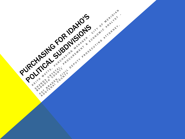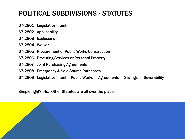### POLITICAL SUBDIVISIONS - STATUTES

- 67-2801 Legislative Intent
- 67-2802 Applicability
- 67-2803 Exclusions
- 67-2804 Waiver
- 67-2805 Procurement of Public Works Construction
- 67-2806 Procuring Services or Personal Property
- 67-2807 Joint Purchasing Agreements
- 67-2808 Emergency & Sole Source Purchases
- 67-2809 Legislative Intent Public Works Agreements -- Savings -- Severability

Simple right? No. Other Statutes are all over the place.

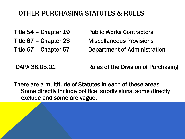### OTHER PURCHASING STATUTES & RULES

- 
- 
- 

Title 54 – Chapter 19 Public Works Contractors Title 67 – Chapter 23 Miscellaneous Provisions Title 67 – Chapter 57 Department of Administration

IDAPA 38.05.01 Rules of the Division of Purchasing

There are a multitude of Statutes in each of these areas. Some directly include political subdivisions, some directly exclude and some are vague.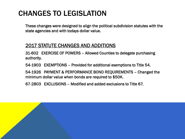## CHANGES TO LEGISLATION

These changes were designed to align the political subdivision statutes with the state agencies and with todays dollar value.

#### 2017 STATUTE CHANGES AND ADDITIONS

31-602 EXERCISE OF POWERS – Allowed Counties to delegate purchasing authority.

54-1903 EXEMPTIONS – Provided for additional exemptions to Title 54.

54-1926 PAYMENT & PERFORMANCE BOND REQUIREMENTS – Changed the minimum dollar value when bonds are required to \$50K.

67-2803 EXCLUSIONS – Modified and added exclusions to Title 67.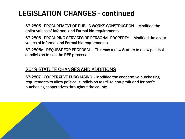## LEGISLATION CHANGES - continued

67-2805 PROCUREMENT OF PUBLIC WORKS CONSTRUCTION – Modified the dollar values of Informal and Formal bid requirements.

67-2806 PROCURING SERVICES OF PERSONAL PROPERTY – Modified the dollar values of Informal and Formal bid requirements.

67-2806A REQUEST FOR PROPOSAL – This was a new Statute to allow political subdivision to use the RFP process.

#### 2019 STATUTE CHANGES AND ADDITIONS

67-2807 COOPERATIVE PURCHASING - Modified the cooperative purchasing requirements to allow political subdivision to utilize non-profit and for profit purchasing cooperatives throughout the county.

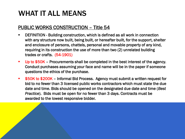## WHAT IT ALL MEANS

#### PUBLIC WORKS CONSTRUCTION – Title 54

- DEFINITION Building construction, which is defined as all work in connection with any structure now built, being built, or hereafter built, for the support, shelter and enclosure of persons, chattels, personal and movable property of any kind, requiring in its construction the use of more than two (2) unrelated building trades or crafts. (54-1901)
- **Up to \$50K** Procurements shall be completed in the best interest of the agency. Conduct purchases assuming your face and name will be in the paper if someone questions the ethics of the purchase.
- **. \$50K to \$200K** Informal Bid Process. Agency must submit a written request for bid to no fewer than 3 licensed public works contractors which must state the due date and time. Bids should be opened on the designated due date and time (*Best Practice*). Bids must be open for no fewer than 3 days. Contracts must be awarded to the lowest responsive bidder.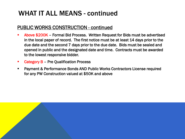### WHAT IT ALL MEANS - continued

#### PUBLIC WORKS CONSTRUCTION - continued

- Above \$200K Formal Bid Process. Written Request for Bids must be advertised in the local paper of record. The first notice must be at least 14 days prior to the due date and the second 7 days prior to the due date. Bids must be sealed and opened in public and the designated date and time. Contracts must be awarded to the lowest responsive bidder.
- Category B Pre Qualification Process
- Payment & Performance Bonds AND Public Works Contractors License required for any PW Construction valued at \$50K and above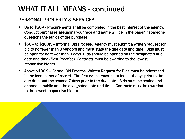### WHAT IT ALL MEANS - continued

### PERSONAL PROPERTY & SERVICES

- Up to \$50K Procurements shall be completed in the best interest of the agency. Conduct purchases assuming your face and name will be in the paper if someone questions the ethics of the purchase.
- \$50K to \$100K Informal Bid Process. Agency must submit a written request for bid to no fewer than 3 vendors and must state the due date and time. Bids must be open for no fewer than 3 days. Bids should be opened on the designated due date and time (*Best Practice*). Contracts must be awarded to the lowest responsive bidder.
- Above \$100K Formal Bid Process. Written Request for Bids must be advertised in the local paper of record. The first notice must be at least 14 days prior to the due date and the second 7 days prior to the due date. Bids must be sealed and opened in public and the designated date and time. Contracts must be awarded to the lowest responsive bidder

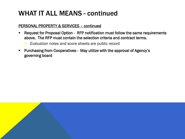### WHAT IT ALL MEANS - continued

#### PERSONAL PROPERTY & SERVICES – continued

- Request for Proposal Option RFP notification must follow the same requirements above. The RFP must contain the selection criteria and contract terms.
	- Evaluation notes and score sheets are public record
- Purchasing from Cooperatives May utilize with the approval of Agency's governing board

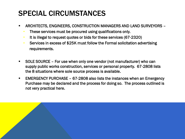# SPECIAL CIRCUMSTANCES

- ARCHITECTS, ENGINEERS, CONSTRUCTION MANAGERS AND LAND SURVEYORS
	- These services must be procured using qualifications only.
	- It is illegal to request quotes or bids for these services (67-2320)
	- Services in excess of \$25K must follow the Formal solicitation advertising requirements.
- SOLE SOURCE For use when only one vendor (not manufacturer) who can supply public works construction, services or personal property. 67-2808 lists the 8 situations where sole source process is available.
- EMERGENCY PURCHASE 67-2808 also lists the instances when an Emergency Purchase may be declared and the process for doing so. The process outlined is not very practical here.

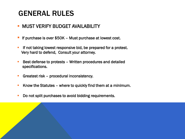## GENERAL RULES

### **MUST VERIFY BUDGET AVAILABILITY**

- If purchase is over \$50K Must purchase at lowest cost.
- **EXPLEM** If not taking lowest responsive bid, be prepared for a protest. Very hard to defend, Consult your attorney.
- Best defense to protests Written procedures and detailed specifications.
- **EXECUTE:** Greatest risk procedural inconsistency.
- Know the Statutes where to quickly find them at a minimum.
- Do not split purchases to avoid bidding requirements.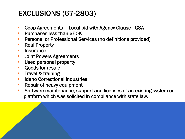# EXCLUSIONS (67-2803)

- Coop Agreements Local bid with Agency Clause GSA
- **Purchases less than \$50K**
- **E** Personal or Professional Services (no definitions provided)
- Real Property
- **<u>■ Insurance</u>**
- **E** Joint Powers Agreements
- **E** Used personal property
- Goods for resale
- **Travel & training**
- Idaho Correctional Industries
- **EXEC** Repair of heavy equipment
- Software maintenance, support and licenses of an existing system or platform which was solicited in compliance with state law.